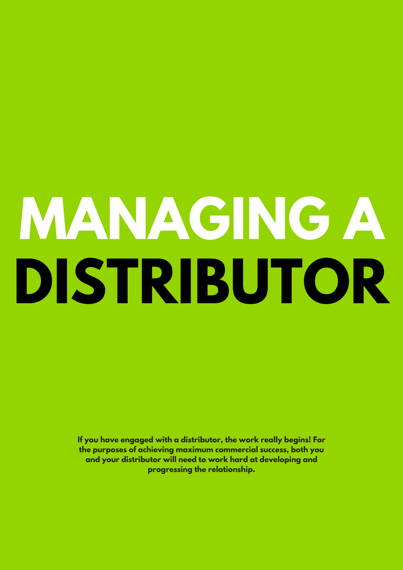# **MANAGING A DISTRIBUTOR**

**If you have engaged with a distributor, the work really begins! For the purposes of achieving maximum commercial success, both you and your distributor will need to work hard at developing and progressing the relationship.**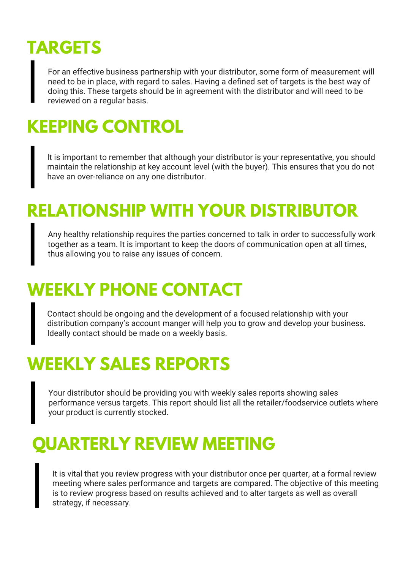## **TARGETS**

For an effective business partnership with your distributor, some form of measurement will need to be in place, with regard to sales. Having a defined set of targets is the best way of doing this. These targets should be in agreement with the distributor and will need to be reviewed on a regular basis.

### **KEEPING CONTROL**

It is important to remember that although your distributor is your representative, you should maintain the relationship at key account level (with the buyer). This ensures that you do not have an over-reliance on any one distributor.

#### **RELATIONSHIP WITH YOUR DISTRIBUTOR**

Any healthy relationship requires the parties concerned to talk in order to successfully work together as a team. It is important to keep the doors of communication open at all times, thus allowing you to raise any issues of concern.

### **WEEKLY PHONE CONTACT**

Contact should be ongoing and the development of a focused relationship with your distribution company's account manger will help you to grow and develop your business. Ideally contact should be made on a weekly basis.

#### **WEEKLY SALES REPORTS**

Your distributor should be providing you with weekly sales reports showing sales performance versus targets. This report should list all the retailer/foodservice outlets where your product is currently stocked.

#### **QUARTERLY REVIEW MEETING**

It is vital that you review progress with your distributor once per quarter, at a formal review meeting where sales performance and targets are compared. The objective of this meeting is to review progress based on results achieved and to alter targets as well as overall strategy, if necessary.